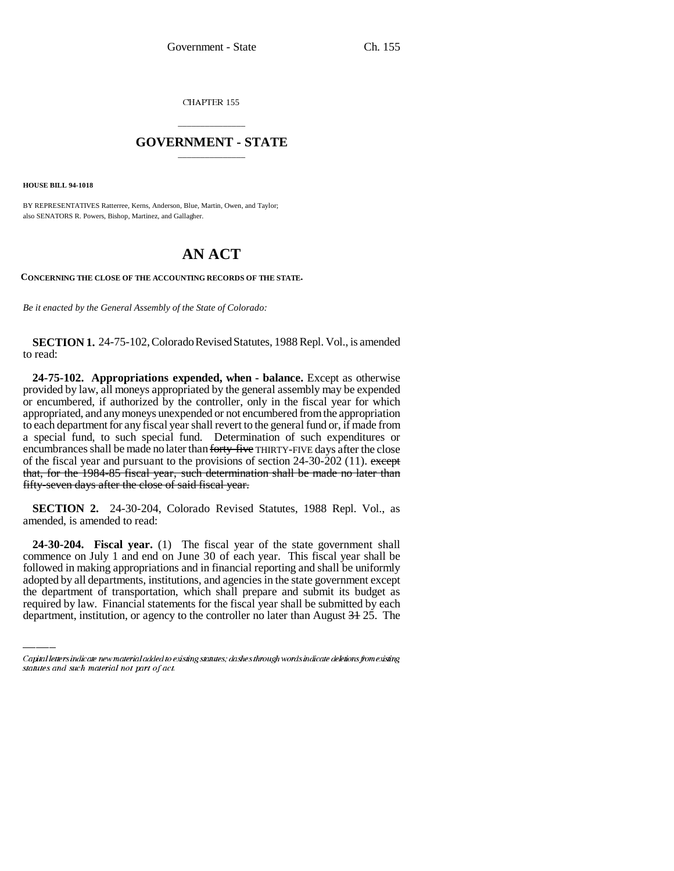CHAPTER 155

## \_\_\_\_\_\_\_\_\_\_\_\_\_\_\_ **GOVERNMENT - STATE** \_\_\_\_\_\_\_\_\_\_\_\_\_\_\_

**HOUSE BILL 94-1018**

BY REPRESENTATIVES Ratterree, Kerns, Anderson, Blue, Martin, Owen, and Taylor; also SENATORS R. Powers, Bishop, Martinez, and Gallagher.

## **AN ACT**

**CONCERNING THE CLOSE OF THE ACCOUNTING RECORDS OF THE STATE.**

*Be it enacted by the General Assembly of the State of Colorado:*

**SECTION 1.** 24-75-102, Colorado Revised Statutes, 1988 Repl. Vol., is amended to read:

**24-75-102. Appropriations expended, when - balance.** Except as otherwise provided by law, all moneys appropriated by the general assembly may be expended or encumbered, if authorized by the controller, only in the fiscal year for which appropriated, and any moneys unexpended or not encumbered from the appropriation to each department for any fiscal year shall revert to the general fund or, if made from a special fund, to such special fund. Determination of such expenditures or encumbrances shall be made no later than forty-five THIRTY-FIVE days after the close of the fiscal year and pursuant to the provisions of section  $24-30-202$  (11). except that, for the 1984-85 fiscal year, such determination shall be made no later than fifty-seven days after the close of said fiscal year.

**SECTION 2.** 24-30-204, Colorado Revised Statutes, 1988 Repl. Vol., as amended, is amended to read:

followed in making appropriations and in financial reporting and shall be uniformly **24-30-204. Fiscal year.** (1) The fiscal year of the state government shall commence on July 1 and end on June 30 of each year. This fiscal year shall be adopted by all departments, institutions, and agencies in the state government except the department of transportation, which shall prepare and submit its budget as required by law. Financial statements for the fiscal year shall be submitted by each department, institution, or agency to the controller no later than August 31 25. The

Capital letters indicate new material added to existing statutes; dashes through words indicate deletions from existing statutes and such material not part of act.